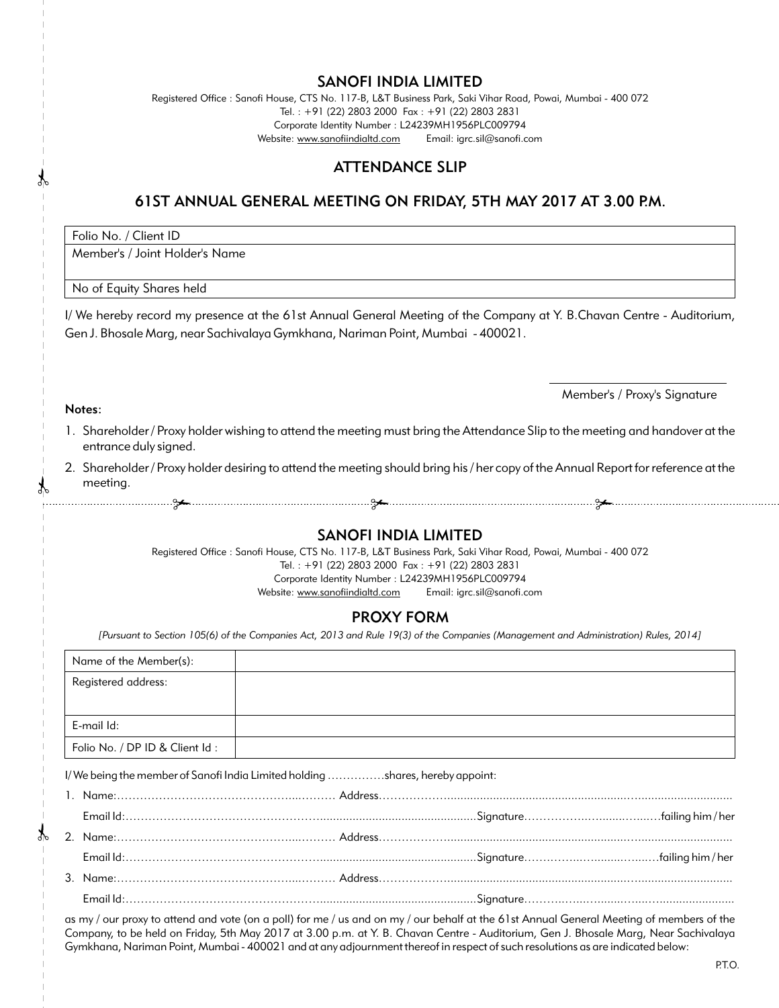### SANOFI INDIA LIMITED

Registered Office : Sanofi House, CTS No. 117-B, L&T Business Park, Saki Vihar Road, Powai, Mumbai - 400 072 Tel. : +91 (22) 2803 2000 Fax : +91 (22) 2803 2831 Corporate Identity Number : L24239MH1956PLC009794 Website: www.sanofiindialtd.com Email: igrc.sil@sanofi.com

## ATTENDANCE SLIP

# 61ST ANNUAL GENERAL MEETING ON FRIDAY, 5TH MAY 2017 AT 3.00 P.M.

Folio No. / Client ID

Notes:

Member's / Joint Holder's Name

#### No of Equity Shares held

I/ We hereby record my presence at the 61st Annual General Meeting of the Company at Y. B.Chavan Centre - Auditorium, Gen J. Bhosale Marg, near Sachivalaya Gymkhana, Nariman Point, Mumbai - 400021.

Member's / Proxy's Signature

- 1. Shareholder / Proxy holder wishing to attend the meeting must bring the Attendance Slip to the meeting and handover at the entrance duly signed.
- 2. Shareholder / Proxy holder desiring to attend the meeting should bring his / her copy of the Annual Report for reference at the meeting.
- 

## SANOFI INDIA LIMITED

Registered Office : Sanofi House, CTS No. 117-B, L&T Business Park, Saki Vihar Road, Powai, Mumbai - 400 072 Tel. : +91 (22) 2803 2000 Fax : +91 (22) 2803 2831 Corporate Identity Number : L24239MH1956PLC009794

Website: www.sanofiindialtd.com Email: igrc.sil@sanofi.com

## PROXY FORM

*[Pursuant to Section 105(6) of the Companies Act, 2013 and Rule 19(3) of the Companies (Management and Administration) Rules, 2014]*

| Name of the Member(s):                                                        |  |  |  |  |  |
|-------------------------------------------------------------------------------|--|--|--|--|--|
| Registered address:                                                           |  |  |  |  |  |
|                                                                               |  |  |  |  |  |
| E-mail Id:                                                                    |  |  |  |  |  |
| Folio No. / DP ID & Client Id:                                                |  |  |  |  |  |
| I/We being the member of Sanofi India Limited holding shares, hereby appoint: |  |  |  |  |  |
|                                                                               |  |  |  |  |  |
|                                                                               |  |  |  |  |  |

as my / our proxy to attend and vote (on a poll) for me / us and on my / our behalf at the 61st Annual General Meeting of members of the Company, to be held on Friday, 5th May 2017 at 3.00 p.m. at Y. B. Chavan Centre - Auditorium, Gen J. Bhosale Marg, Near Sachivalaya Gymkhana, Nariman Point, Mumbai - 400021 and at any adjournment thereof in respect of such resolutions as are indicated below: